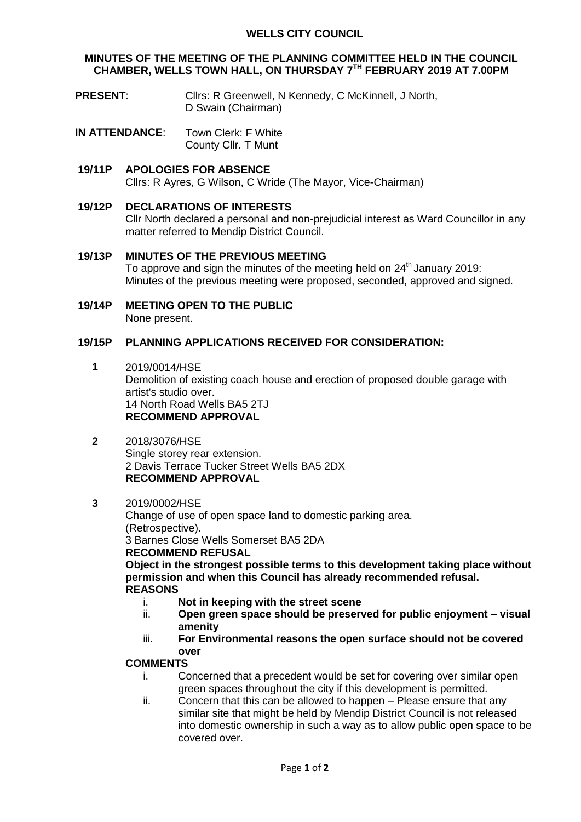### **WELLS CITY COUNCIL**

#### **MINUTES OF THE MEETING OF THE PLANNING COMMITTEE HELD IN THE COUNCIL CHAMBER, WELLS TOWN HALL, ON THURSDAY 7 TH FEBRUARY 2019 AT 7.00PM**

- **PRESENT:** Clirs: R Greenwell, N Kennedy, C McKinnell, J North, D Swain (Chairman)
- **IN ATTENDANCE:** Town Clerk: F White County Cllr. T Munt

### **19/11P APOLOGIES FOR ABSENCE** Cllrs: R Ayres, G Wilson, C Wride (The Mayor, Vice-Chairman)

### **19/12P DECLARATIONS OF INTERESTS**

Cllr North declared a personal and non-prejudicial interest as Ward Councillor in any matter referred to Mendip District Council.

- **19/13P MINUTES OF THE PREVIOUS MEETING** To approve and sign the minutes of the meeting held on  $24<sup>th</sup>$  January 2019: Minutes of the previous meeting were proposed, seconded, approved and signed.
- **19/14P MEETING OPEN TO THE PUBLIC** None present.

# **19/15P PLANNING APPLICATIONS RECEIVED FOR CONSIDERATION:**

- **1** 2019/0014/HSE Demolition of existing coach house and erection of proposed double garage with artist's studio over. 14 North Road Wells BA5 2TJ **RECOMMEND APPROVAL**
- **2** 2018/3076/HSE Single storey rear extension. 2 Davis Terrace Tucker Street Wells BA5 2DX **RECOMMEND APPROVAL**

# **3** 2019/0002/HSE

Change of use of open space land to domestic parking area. (Retrospective). 3 Barnes Close Wells Somerset BA5 2DA **RECOMMEND REFUSAL Object in the strongest possible terms to this development taking place without permission and when this Council has already recommended refusal.**

# **REASONS**

- i. **Not in keeping with the street scene**
- ii. **Open green space should be preserved for public enjoyment – visual amenity**
- iii. **For Environmental reasons the open surface should not be covered over**

### **COMMENTS**

- i. Concerned that a precedent would be set for covering over similar open green spaces throughout the city if this development is permitted.
- ii. Concern that this can be allowed to happen Please ensure that any similar site that might be held by Mendip District Council is not released into domestic ownership in such a way as to allow public open space to be covered over.